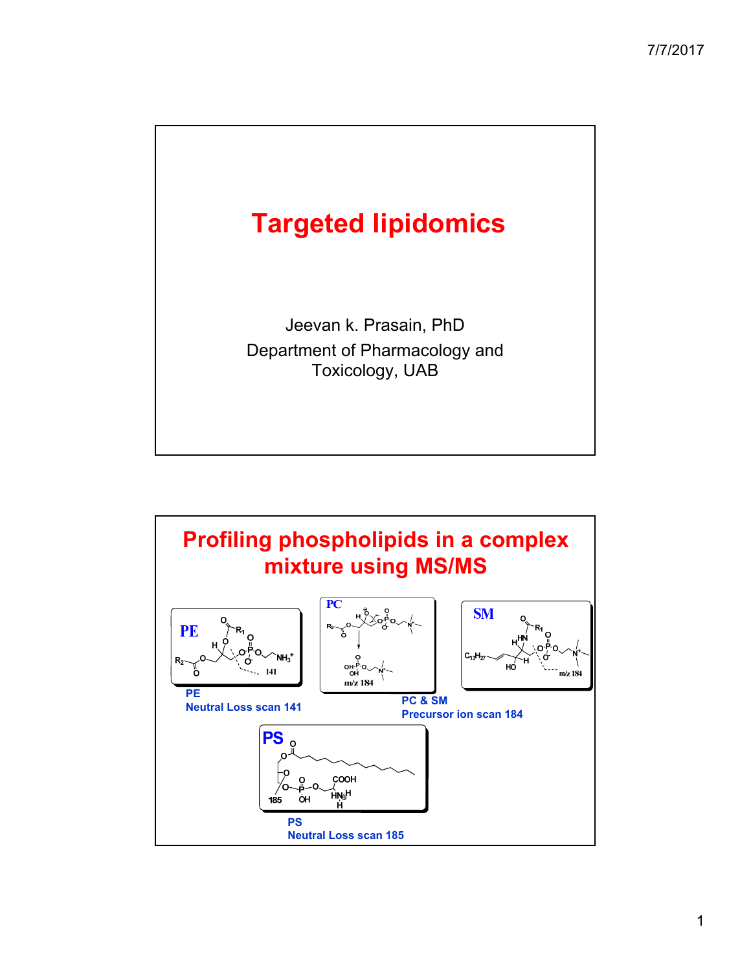

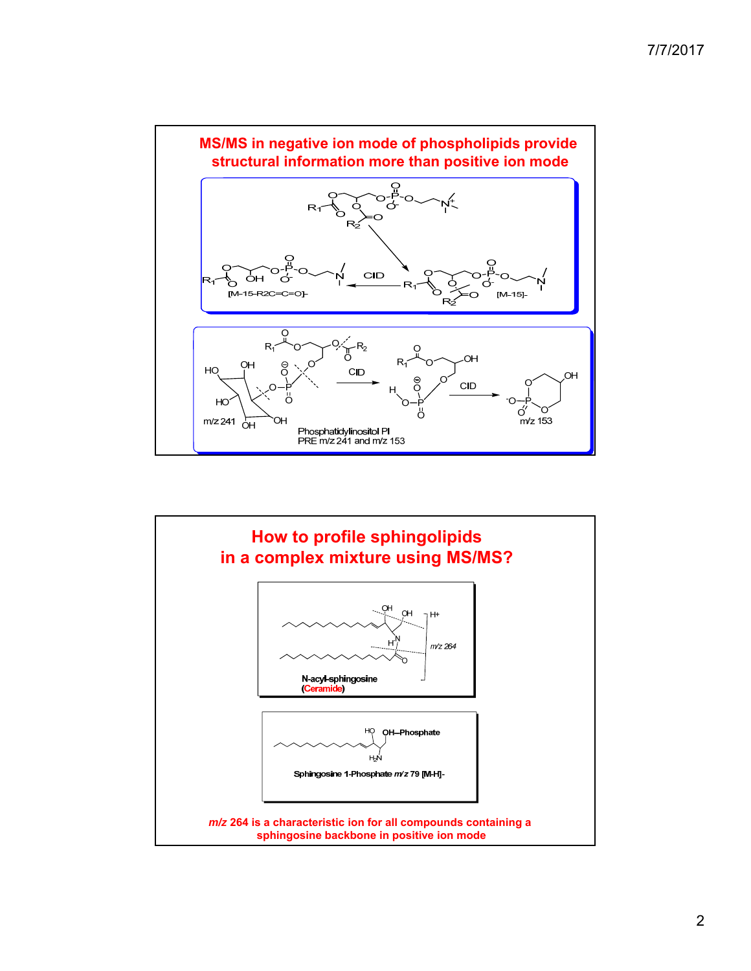

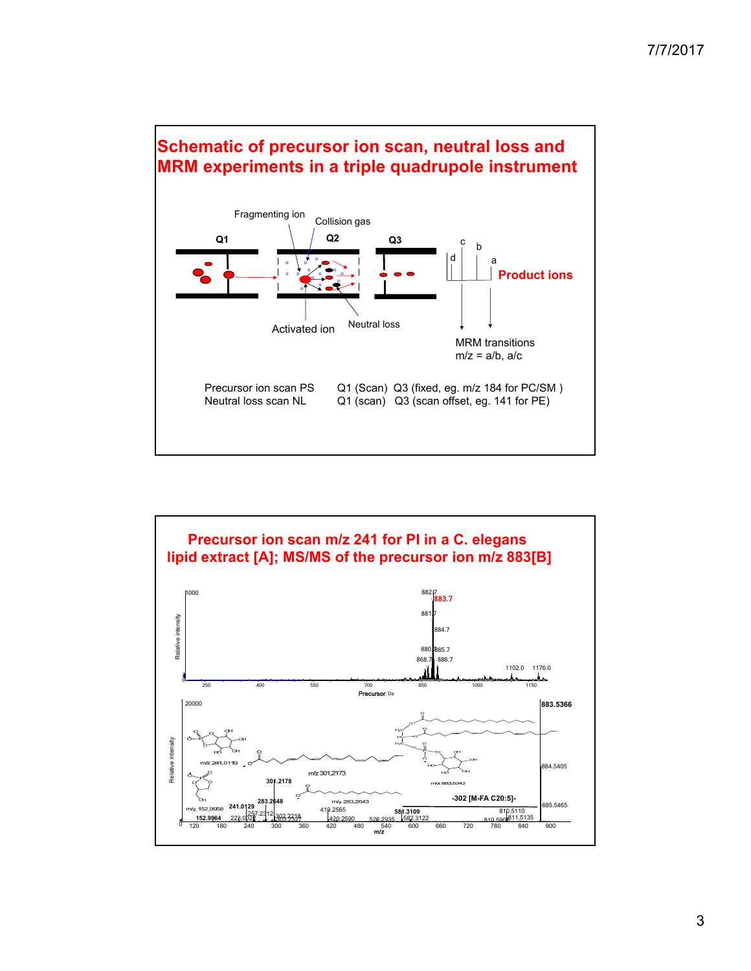



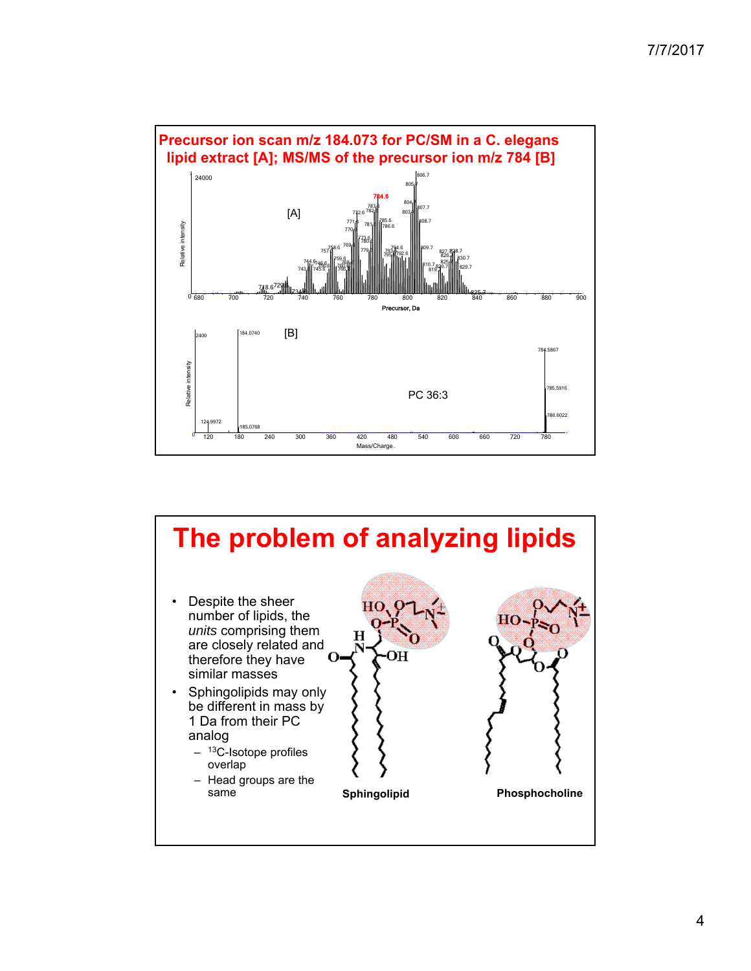



4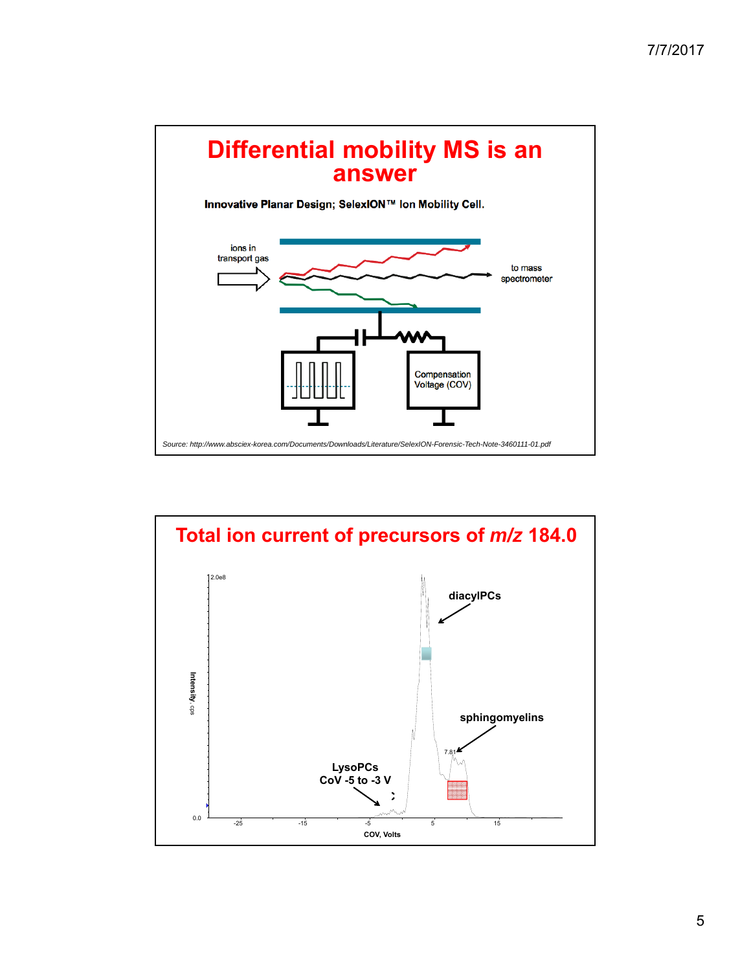

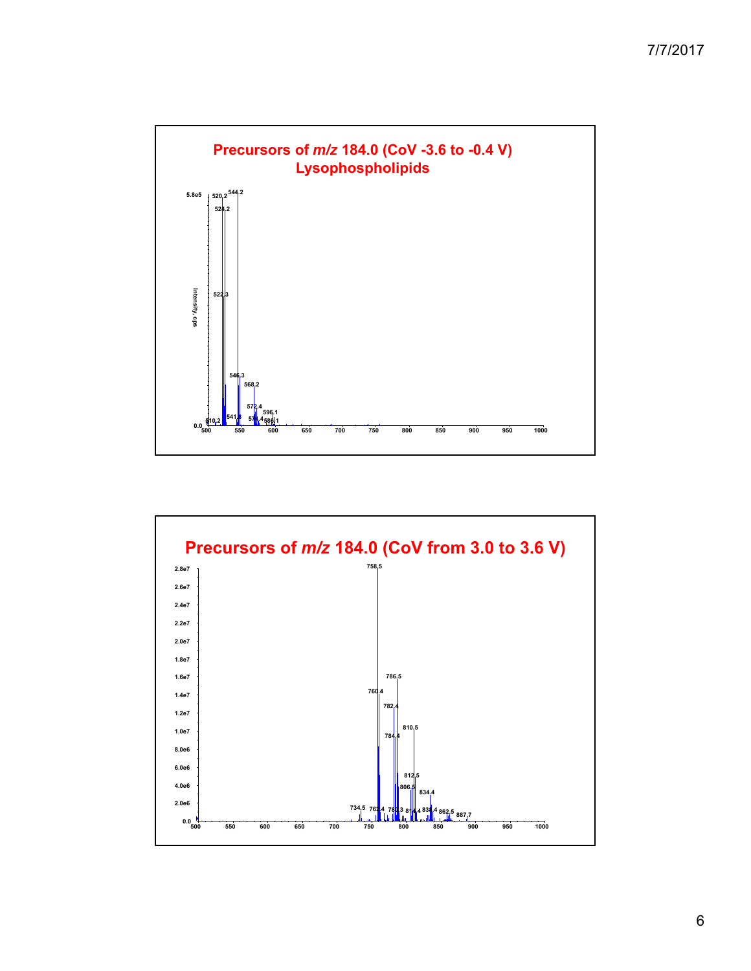



6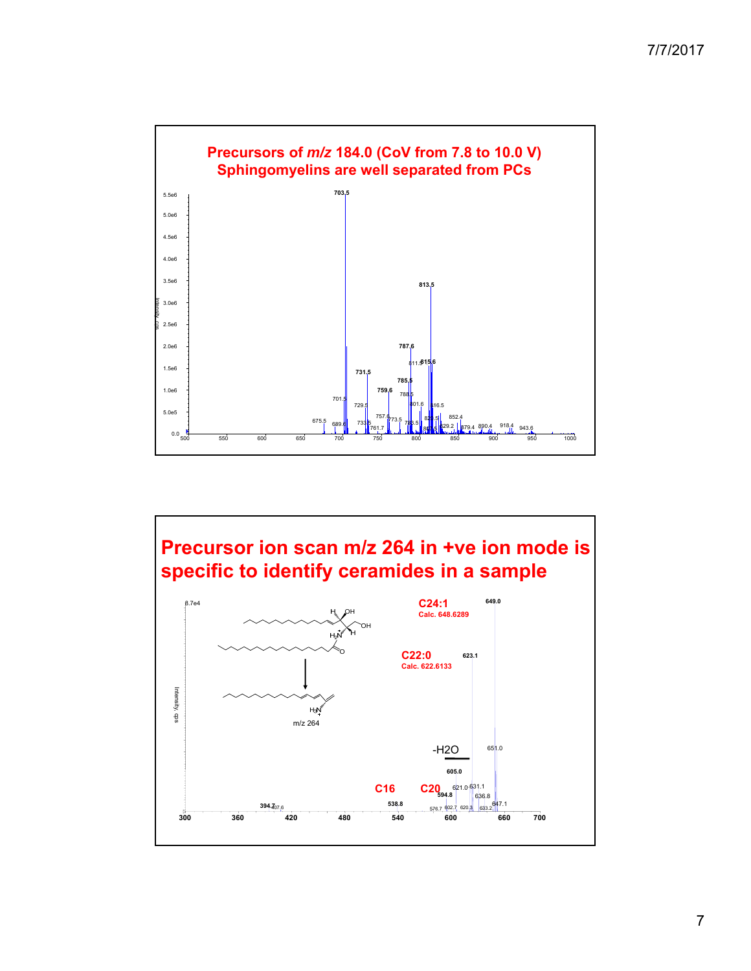